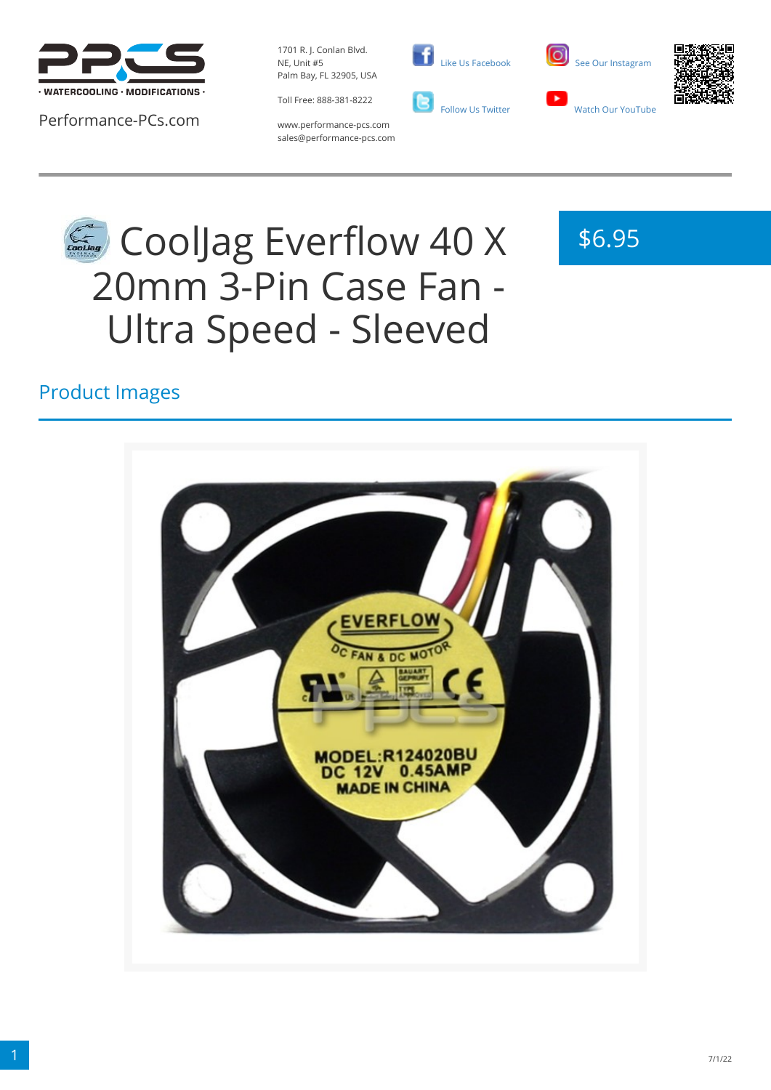

Performance-PCs.com

1701 R. J. Conlan Blvd. NE, Unit #5 Palm Bay, FL 32905, USA

Toll Free: 888-381-8222







www.performance-pcs.com sales@performance-pcs.com

# CoolJag Everflow 40 X 20mm 3-Pin Case Fan - Ultra Speed - Sleeved

## \$6.95

#### Product Images

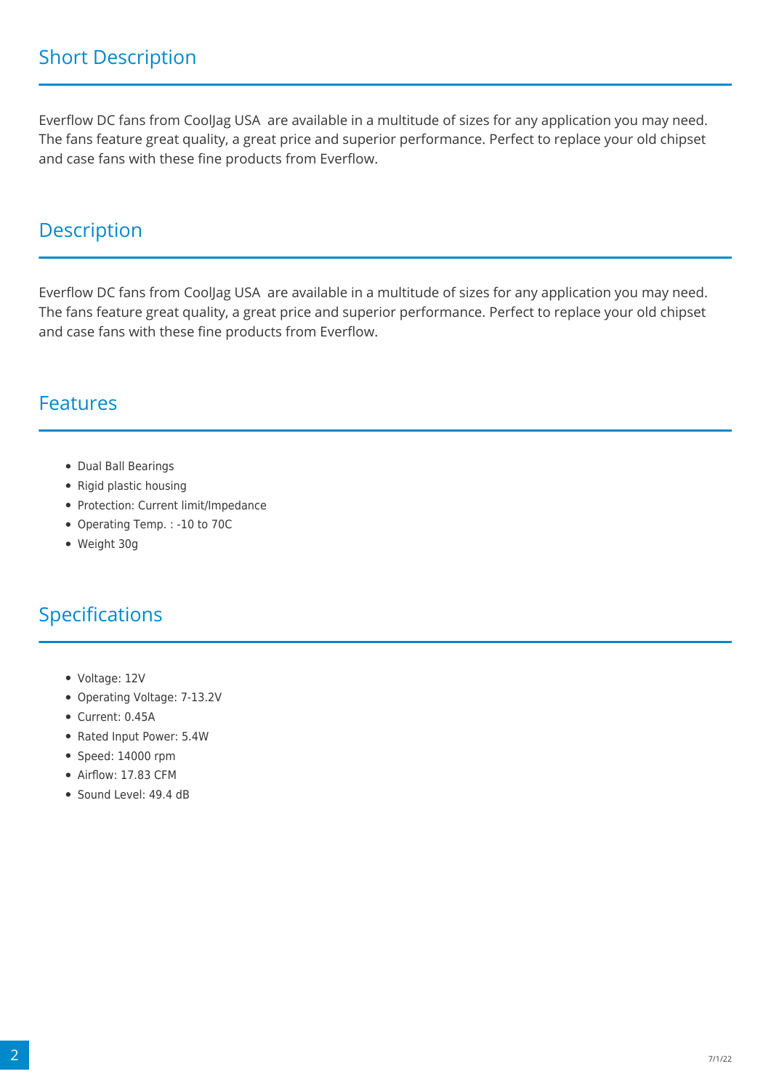Everflow DC fans from CoolJag USA are available in a multitude of sizes for any application you may need. The fans feature great quality, a great price and superior performance. Perfect to replace your old chipset and case fans with these fine products from Everflow.

#### **Description**

Everflow DC fans from CoolJag USA are available in a multitude of sizes for any application you may need. The fans feature great quality, a great price and superior performance. Perfect to replace your old chipset and case fans with these fine products from Everflow.

#### Features

- Dual Ball Bearings
- Rigid plastic housing
- Protection: Current limit/Impedance
- Operating Temp. : -10 to 70C
- Weight 30g

#### Specifications

- Voltage: 12V
- Operating Voltage: 7-13.2V
- Current: 0.45A
- Rated Input Power: 5.4W
- Speed: 14000 rpm
- Airflow: 17.83 CFM
- Sound Level: 49.4 dB